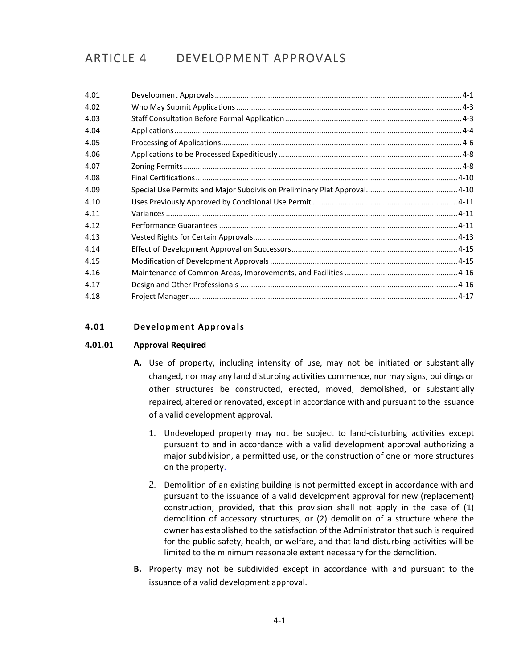# ARTICLE 4 DEVELOPMENT APPROVALS

| 4.01 |  |
|------|--|
| 4.02 |  |
| 4.03 |  |
| 4.04 |  |
| 4.05 |  |
| 4.06 |  |
| 4.07 |  |
| 4.08 |  |
| 4.09 |  |
| 4.10 |  |
| 4.11 |  |
| 4.12 |  |
| 4.13 |  |
| 4.14 |  |
| 4.15 |  |
| 4.16 |  |
| 4.17 |  |
| 4.18 |  |

# <span id="page-0-0"></span>**4.01 Development Approvals**

## **4.01.01 Approval Required**

- **A.** Use of property, including intensity of use, may not be initiated or substantially changed, nor may any land disturbing activities commence, nor may signs, buildings or other structures be constructed, erected, moved, demolished, or substantially repaired, altered or renovated, except in accordance with and pursuant to the issuance of a valid development approval.
	- 1. Undeveloped property may not be subject to land-disturbing activities except pursuant to and in accordance with a valid development approval authorizing a major subdivision, a permitted use, or the construction of one or more structures on the property.
	- 2. Demolition of an existing building is not permitted except in accordance with and pursuant to the issuance of a valid development approval for new (replacement) construction; provided, that this provision shall not apply in the case of (1) demolition of accessory structures, or (2) demolition of a structure where the owner has established to the satisfaction of the Administrator that such is required for the public safety, health, or welfare, and that land-disturbing activities will be limited to the minimum reasonable extent necessary for the demolition.
- **B.** Property may not be subdivided except in accordance with and pursuant to the issuance of a valid development approval.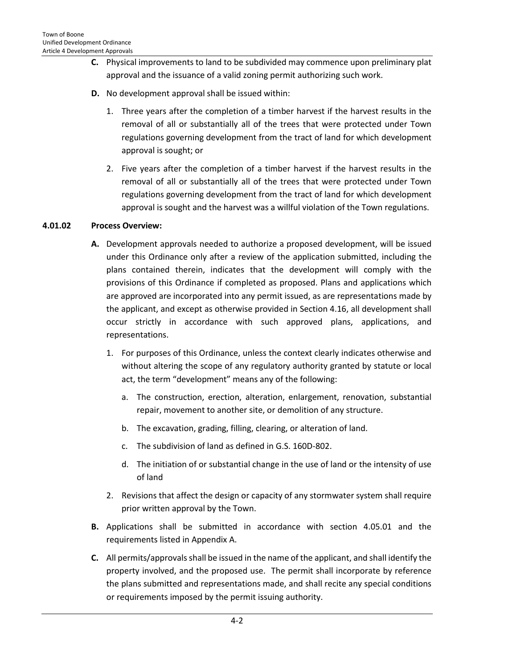- **C.** Physical improvements to land to be subdivided may commence upon preliminary plat approval and the issuance of a valid zoning permit authorizing such work.
- **D.** No development approval shall be issued within:
	- 1. Three years after the completion of a timber harvest if the harvest results in the removal of all or substantially all of the trees that were protected under Town regulations governing development from the tract of land for which development approval is sought; or
	- 2. Five years after the completion of a timber harvest if the harvest results in the removal of all or substantially all of the trees that were protected under Town regulations governing development from the tract of land for which development approval is sought and the harvest was a willful violation of the Town regulations.

## **4.01.02 Process Overview:**

- **A.** Development approvals needed to authorize a proposed development, will be issued under this Ordinance only after a review of the application submitted, including the plans contained therein, indicates that the development will comply with the provisions of this Ordinance if completed as proposed. Plans and applications which are approved are incorporated into any permit issued, as are representations made by the applicant, and except as otherwise provided in Section 4.16, all development shall occur strictly in accordance with such approved plans, applications, and representations.
	- 1. For purposes of this Ordinance, unless the context clearly indicates otherwise and without altering the scope of any regulatory authority granted by statute or local act, the term "development" means any of the following:
		- a. The construction, erection, alteration, enlargement, renovation, substantial repair, movement to another site, or demolition of any structure.
		- b. The excavation, grading, filling, clearing, or alteration of land.
		- c. The subdivision of land as defined in G.S. 160D-802.
		- d. The initiation of or substantial change in the use of land or the intensity of use of land
	- 2. Revisions that affect the design or capacity of any stormwater system shall require prior written approval by the Town.
- **B.** Applications shall be submitted in accordance with section 4.05.01 and the requirements listed in Appendix A.
- **C.** All permits/approvals shall be issued in the name of the applicant, and shall identify the property involved, and the proposed use. The permit shall incorporate by reference the plans submitted and representations made, and shall recite any special conditions or requirements imposed by the permit issuing authority.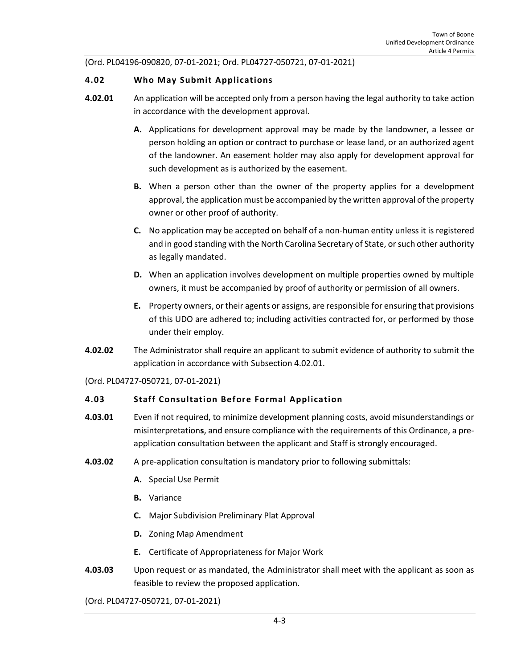(Ord. PL04196-090820, 07-01-2021; Ord. PL04727-050721, 07-01-2021)

#### <span id="page-2-0"></span>**4.02 Who May Submit Applications**

- **4.02.01** An application will be accepted only from a person having the legal authority to take action in accordance with the development approval.
	- **A.** Applications for development approval may be made by the landowner, a lessee or person holding an option or contract to purchase or lease land, or an authorized agent of the landowner. An easement holder may also apply for development approval for such development as is authorized by the easement.
	- **B.** When a person other than the owner of the property applies for a development approval, the application must be accompanied by the written approval of the property owner or other proof of authority.
	- **C.** No application may be accepted on behalf of a non-human entity unless it is registered and in good standing with the North Carolina Secretary of State, or such other authority as legally mandated.
	- **D.** When an application involves development on multiple properties owned by multiple owners, it must be accompanied by proof of authority or permission of all owners.
	- **E.** Property owners, or their agents or assigns, are responsible for ensuring that provisions of this UDO are adhered to; including activities contracted for, or performed by those under their employ.
- **4.02.02** The Administrator shall require an applicant to submit evidence of authority to submit the application in accordance with Subsection 4.02.01.

(Ord. PL04727-050721, 07-01-2021)

## <span id="page-2-1"></span>**4.03 Staff Consultation Before Formal Application**

- **4.03.01** Even if not required, to minimize development planning costs, avoid misunderstandings or misinterpretation**s**, and ensure compliance with the requirements of this Ordinance, a preapplication consultation between the applicant and Staff is strongly encouraged.
- **4.03.02** A pre-application consultation is mandatory prior to following submittals:
	- **A.** Special Use Permit
	- **B.** Variance
	- **C.** Major Subdivision Preliminary Plat Approval
	- **D.** Zoning Map Amendment
	- **E.** Certificate of Appropriateness for Major Work
- **4.03.03** Upon request or as mandated, the Administrator shall meet with the applicant as soon as feasible to review the proposed application.

(Ord. PL04727-050721, 07-01-2021)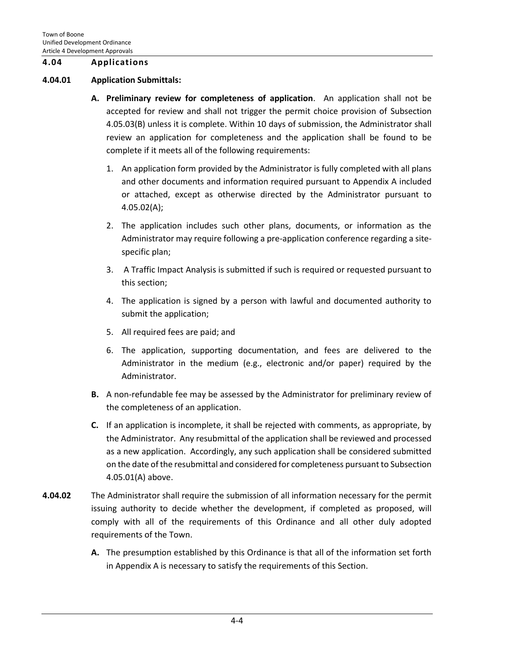#### <span id="page-3-0"></span>**4.04 Applications**

#### **4.04.01 Application Submittals:**

- **A. Preliminary review for completeness of application**. An application shall not be accepted for review and shall not trigger the permit choice provision of Subsection 4.05.03(B) unless it is complete. Within 10 days of submission, the Administrator shall review an application for completeness and the application shall be found to be complete if it meets all of the following requirements:
	- 1. An application form provided by the Administrator is fully completed with all plans and other documents and information required pursuant to Appendix A included or attached, except as otherwise directed by the Administrator pursuant to 4.05.02(A);
	- 2. The application includes such other plans, documents, or information as the Administrator may require following a pre-application conference regarding a sitespecific plan;
	- 3. A Traffic Impact Analysis is submitted if such is required or requested pursuant to this section;
	- 4. The application is signed by a person with lawful and documented authority to submit the application;
	- 5. All required fees are paid; and
	- 6. The application, supporting documentation, and fees are delivered to the Administrator in the medium (e.g., electronic and/or paper) required by the Administrator.
- **B.** A non-refundable fee may be assessed by the Administrator for preliminary review of the completeness of an application.
- **C.** If an application is incomplete, it shall be rejected with comments, as appropriate, by the Administrator. Any resubmittal of the application shall be reviewed and processed as a new application. Accordingly, any such application shall be considered submitted on the date of the resubmittal and considered for completeness pursuant to Subsection 4.05.01(A) above.
- **4.04.02** The Administrator shall require the submission of all information necessary for the permit issuing authority to decide whether the development, if completed as proposed, will comply with all of the requirements of this Ordinance and all other duly adopted requirements of the Town.
	- **A.** The presumption established by this Ordinance is that all of the information set forth in Appendix A is necessary to satisfy the requirements of this Section.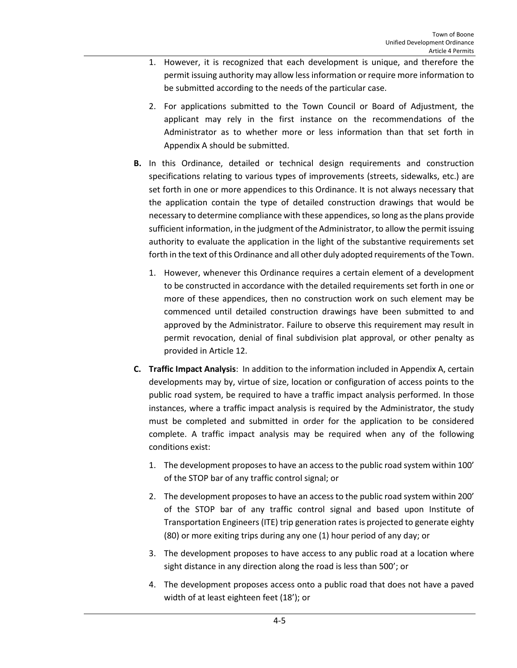- 1. However, it is recognized that each development is unique, and therefore the permit issuing authority may allow less information or require more information to be submitted according to the needs of the particular case.
- 2. For applications submitted to the Town Council or Board of Adjustment, the applicant may rely in the first instance on the recommendations of the Administrator as to whether more or less information than that set forth in Appendix A should be submitted.
- **B.** In this Ordinance, detailed or technical design requirements and construction specifications relating to various types of improvements (streets, sidewalks, etc.) are set forth in one or more appendices to this Ordinance. It is not always necessary that the application contain the type of detailed construction drawings that would be necessary to determine compliance with these appendices, so long as the plans provide sufficient information, in the judgment of the Administrator, to allow the permit issuing authority to evaluate the application in the light of the substantive requirements set forth in the text of this Ordinance and all other duly adopted requirements of the Town.
	- 1. However, whenever this Ordinance requires a certain element of a development to be constructed in accordance with the detailed requirements set forth in one or more of these appendices, then no construction work on such element may be commenced until detailed construction drawings have been submitted to and approved by the Administrator. Failure to observe this requirement may result in permit revocation, denial of final subdivision plat approval, or other penalty as provided in Article 12.
- **C. Traffic Impact Analysis**: In addition to the information included in Appendix A, certain developments may by, virtue of size, location or configuration of access points to the public road system, be required to have a traffic impact analysis performed. In those instances, where a traffic impact analysis is required by the Administrator, the study must be completed and submitted in order for the application to be considered complete. A traffic impact analysis may be required when any of the following conditions exist:
	- 1. The development proposes to have an access to the public road system within 100' of the STOP bar of any traffic control signal; or
	- 2. The development proposes to have an access to the public road system within 200' of the STOP bar of any traffic control signal and based upon Institute of Transportation Engineers (ITE) trip generation rates is projected to generate eighty (80) or more exiting trips during any one (1) hour period of any day; or
	- 3. The development proposes to have access to any public road at a location where sight distance in any direction along the road is less than 500'; or
	- 4. The development proposes access onto a public road that does not have a paved width of at least eighteen feet (18'); or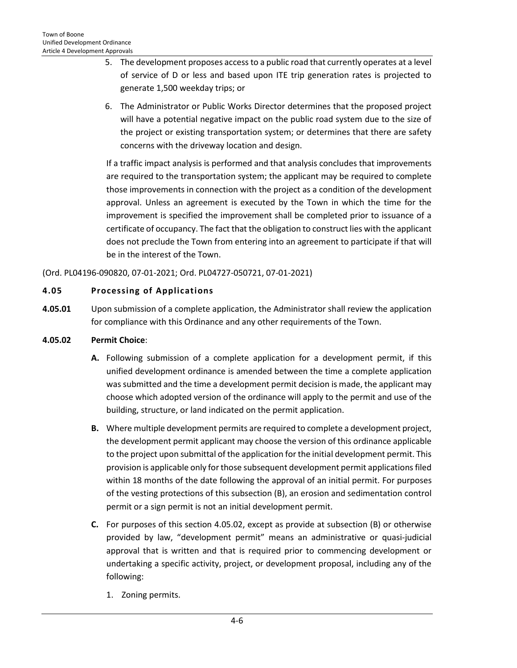- 5. The development proposes access to a public road that currently operates at a level of service of D or less and based upon ITE trip generation rates is projected to generate 1,500 weekday trips; or
- 6. The Administrator or Public Works Director determines that the proposed project will have a potential negative impact on the public road system due to the size of the project or existing transportation system; or determines that there are safety concerns with the driveway location and design.

If a traffic impact analysis is performed and that analysis concludes that improvements are required to the transportation system; the applicant may be required to complete those improvements in connection with the project as a condition of the development approval. Unless an agreement is executed by the Town in which the time for the improvement is specified the improvement shall be completed prior to issuance of a certificate of occupancy. The fact that the obligation to construct lies with the applicant does not preclude the Town from entering into an agreement to participate if that will be in the interest of the Town.

(Ord. PL04196-090820, 07-01-2021; Ord. PL04727-050721, 07-01-2021)

# <span id="page-5-0"></span>**4.05 Processing of Applications**

**4.05.01** Upon submission of a complete application, the Administrator shall review the application for compliance with this Ordinance and any other requirements of the Town.

## **4.05.02 Permit Choice**:

- **A.** Following submission of a complete application for a development permit, if this unified development ordinance is amended between the time a complete application was submitted and the time a development permit decision is made, the applicant may choose which adopted version of the ordinance will apply to the permit and use of the building, structure, or land indicated on the permit application.
- **B.** Where multiple development permits are required to complete a development project, the development permit applicant may choose the version of this ordinance applicable to the project upon submittal of the application for the initial development permit. This provision is applicable only for those subsequent development permit applications filed within 18 months of the date following the approval of an initial permit. For purposes of the vesting protections of this subsection (B), an erosion and sedimentation control permit or a sign permit is not an initial development permit.
- **C.** For purposes of this section 4.05.02, except as provide at subsection (B) or otherwise provided by law, "development permit" means an administrative or quasi-judicial approval that is written and that is required prior to commencing development or undertaking a specific activity, project, or development proposal, including any of the following:
	- 1. Zoning permits.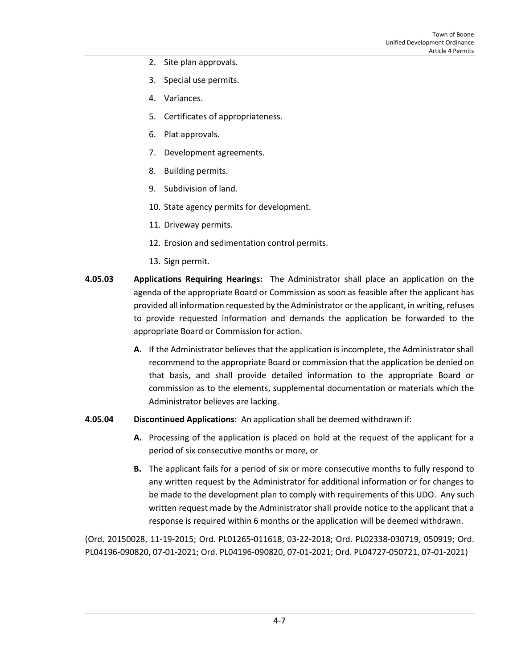- 2. Site plan approvals.
- 3. Special use permits.
- 4. Variances.
- 5. Certificates of appropriateness.
- 6. Plat approvals.
- 7. Development agreements.
- 8. Building permits.
- 9. Subdivision of land.
- 10. State agency permits for development.
- 11. Driveway permits.
- 12. Erosion and sedimentation control permits.
- 13. Sign permit.
- **4.05.03 Applications Requiring Hearings:** The Administrator shall place an application on the agenda of the appropriate Board or Commission as soon as feasible after the applicant has provided all information requested by the Administrator or the applicant, in writing, refuses to provide requested information and demands the application be forwarded to the appropriate Board or Commission for action.
	- **A.** If the Administrator believes that the application is incomplete, the Administrator shall recommend to the appropriate Board or commission that the application be denied on that basis, and shall provide detailed information to the appropriate Board or commission as to the elements, supplemental documentation or materials which the Administrator believes are lacking.
- **4.05.04 Discontinued Applications**: An application shall be deemed withdrawn if:
	- **A.** Processing of the application is placed on hold at the request of the applicant for a period of six consecutive months or more, or
	- **B.** The applicant fails for a period of six or more consecutive months to fully respond to any written request by the Administrator for additional information or for changes to be made to the development plan to comply with requirements of this UDO. Any such written request made by the Administrator shall provide notice to the applicant that a response is required within 6 months or the application will be deemed withdrawn.

(Ord. 20150028, 11-19-2015; Ord. PL01265-011618, 03-22-2018; Ord. PL02338-030719, 050919; Ord. PL04196-090820, 07-01-2021; Ord. PL04196-090820, 07-01-2021; Ord. PL04727-050721, 07-01-2021)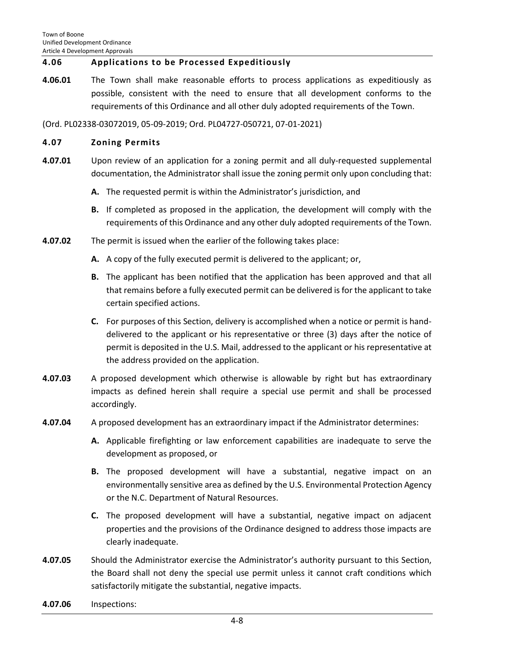## <span id="page-7-0"></span>**4.06 Applications to be Processed Expeditiously**

**4.06.01** The Town shall make reasonable efforts to process applications as expeditiously as possible, consistent with the need to ensure that all development conforms to the requirements of this Ordinance and all other duly adopted requirements of the Town.

(Ord. PL02338-03072019, 05-09-2019; Ord. PL04727-050721, 07-01-2021)

## <span id="page-7-1"></span>**4.07 Zoning Permits**

- **4.07.01** Upon review of an application for a zoning permit and all duly-requested supplemental documentation, the Administrator shall issue the zoning permit only upon concluding that:
	- **A.** The requested permit is within the Administrator's jurisdiction, and
	- **B.** If completed as proposed in the application, the development will comply with the requirements of this Ordinance and any other duly adopted requirements of the Town.
- **4.07.02** The permit is issued when the earlier of the following takes place:
	- **A.** A copy of the fully executed permit is delivered to the applicant; or,
	- **B.** The applicant has been notified that the application has been approved and that all that remains before a fully executed permit can be delivered is for the applicant to take certain specified actions.
	- **C.** For purposes of this Section, delivery is accomplished when a notice or permit is handdelivered to the applicant or his representative or three (3) days after the notice of permit is deposited in the U.S. Mail, addressed to the applicant or his representative at the address provided on the application.
- **4.07.03** A proposed development which otherwise is allowable by right but has extraordinary impacts as defined herein shall require a special use permit and shall be processed accordingly.
- **4.07.04** A proposed development has an extraordinary impact if the Administrator determines:
	- **A.** Applicable firefighting or law enforcement capabilities are inadequate to serve the development as proposed, or
	- **B.** The proposed development will have a substantial, negative impact on an environmentally sensitive area as defined by the U.S. Environmental Protection Agency or the N.C. Department of Natural Resources.
	- **C.** The proposed development will have a substantial, negative impact on adjacent properties and the provisions of the Ordinance designed to address those impacts are clearly inadequate.
- **4.07.05** Should the Administrator exercise the Administrator's authority pursuant to this Section, the Board shall not deny the special use permit unless it cannot craft conditions which satisfactorily mitigate the substantial, negative impacts.
- **4.07.06** Inspections: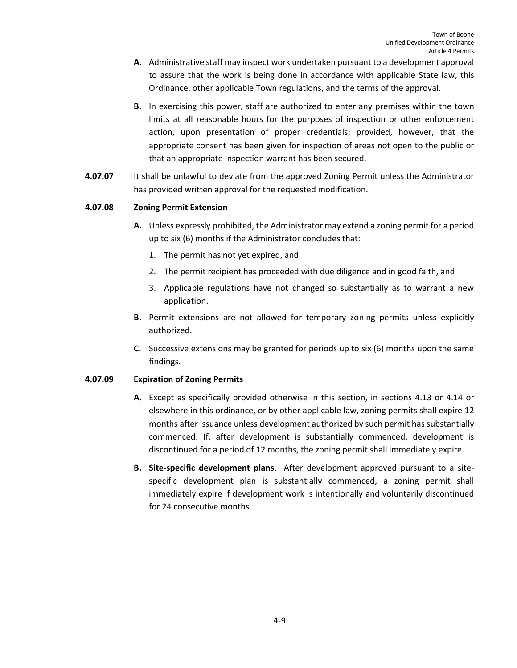- **A.** Administrative staff may inspect work undertaken pursuant to a development approval to assure that the work is being done in accordance with applicable State law, this Ordinance, other applicable Town regulations, and the terms of the approval.
- **B.** In exercising this power, staff are authorized to enter any premises within the town limits at all reasonable hours for the purposes of inspection or other enforcement action, upon presentation of proper credentials; provided, however, that the appropriate consent has been given for inspection of areas not open to the public or that an appropriate inspection warrant has been secured.
- **4.07.07** It shall be unlawful to deviate from the approved Zoning Permit unless the Administrator has provided written approval for the requested modification.

## **4.07.08 Zoning Permit Extension**

- **A.** Unless expressly prohibited, the Administrator may extend a zoning permit for a period up to six (6) months if the Administrator concludes that:
	- 1. The permit has not yet expired, and
	- 2. The permit recipient has proceeded with due diligence and in good faith, and
	- 3. Applicable regulations have not changed so substantially as to warrant a new application.
- **B.** Permit extensions are not allowed for temporary zoning permits unless explicitly authorized.
- **C.** Successive extensions may be granted for periods up to six (6) months upon the same findings.

#### **4.07.09 Expiration of Zoning Permits**

- **A.** Except as specifically provided otherwise in this section, in sections 4.13 or 4.14 or elsewhere in this ordinance, or by other applicable law, zoning permits shall expire 12 months after issuance unless development authorized by such permit has substantially commenced. If, after development is substantially commenced, development is discontinued for a period of 12 months, the zoning permit shall immediately expire.
- **B. Site-specific development plans**. After development approved pursuant to a sitespecific development plan is substantially commenced, a zoning permit shall immediately expire if development work is intentionally and voluntarily discontinued for 24 consecutive months.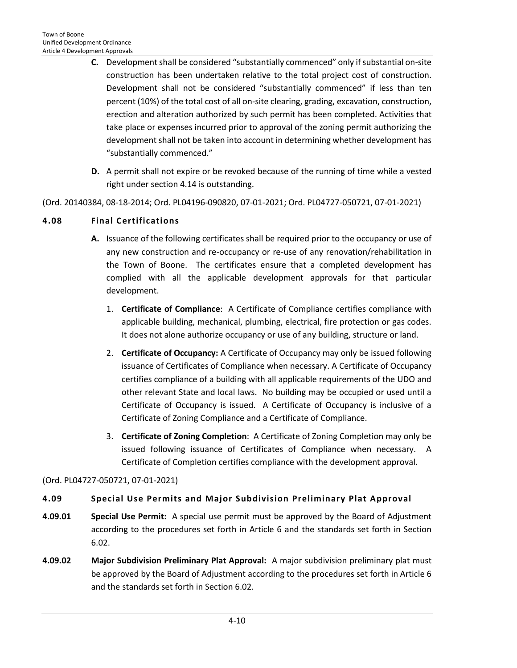- **C.** Development shall be considered "substantially commenced" only if substantial on-site construction has been undertaken relative to the total project cost of construction. Development shall not be considered "substantially commenced" if less than ten percent (10%) of the total cost of all on-site clearing, grading, excavation, construction, erection and alteration authorized by such permit has been completed. Activities that take place or expenses incurred prior to approval of the zoning permit authorizing the development shall not be taken into account in determining whether development has "substantially commenced."
- **D.** A permit shall not expire or be revoked because of the running of time while a vested right under section 4.14 is outstanding.

(Ord. 20140384, 08-18-2014; Ord. PL04196-090820, 07-01-2021; Ord. PL04727-050721, 07-01-2021)

## <span id="page-9-0"></span>**4.08 Final Certifications**

- **A.** Issuance of the following certificates shall be required prior to the occupancy or use of any new construction and re-occupancy or re-use of any renovation/rehabilitation in the Town of Boone. The certificates ensure that a completed development has complied with all the applicable development approvals for that particular development.
	- 1. **Certificate of Compliance**: A Certificate of Compliance certifies compliance with applicable building, mechanical, plumbing, electrical, fire protection or gas codes. It does not alone authorize occupancy or use of any building, structure or land.
	- 2. **Certificate of Occupancy:** A Certificate of Occupancy may only be issued following issuance of Certificates of Compliance when necessary. A Certificate of Occupancy certifies compliance of a building with all applicable requirements of the UDO and other relevant State and local laws. No building may be occupied or used until a Certificate of Occupancy is issued. A Certificate of Occupancy is inclusive of a Certificate of Zoning Compliance and a Certificate of Compliance.
	- 3. **Certificate of Zoning Completion**: A Certificate of Zoning Completion may only be issued following issuance of Certificates of Compliance when necessary. A Certificate of Completion certifies compliance with the development approval.

#### (Ord. PL04727-050721, 07-01-2021)

#### <span id="page-9-1"></span>**4.09 Special Use Permits and Major Subdivision Preliminary Plat Approval**

- **4.09.01 Special Use Permit:** A special use permit must be approved by the Board of Adjustment according to the procedures set forth in Article 6 and the standards set forth in Section 6.02.
- **4.09.02 Major Subdivision Preliminary Plat Approval:** A major subdivision preliminary plat must be approved by the Board of Adjustment according to the procedures set forth in Article 6 and the standards set forth in Section 6.02.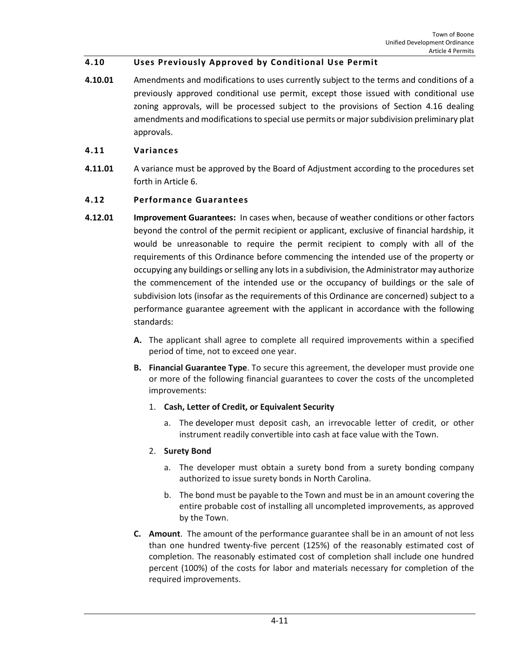## <span id="page-10-0"></span>**4.10 Uses Previously Approved by Conditional Use Permit**

**4.10.01** Amendments and modifications to uses currently subject to the terms and conditions of a previously approved conditional use permit, except those issued with conditional use zoning approvals, will be processed subject to the provisions of Section 4.16 dealing amendments and modifications to special use permits or major subdivision preliminary plat approvals.

#### <span id="page-10-1"></span>**4.11 Variances**

**4.11.01** A variance must be approved by the Board of Adjustment according to the procedures set forth in Article 6.

#### <span id="page-10-2"></span>**4.12 Performance Guarantees**

- **4.12.01 Improvement Guarantees:** In cases when, because of weather conditions or other factors beyond the control of the permit recipient or applicant, exclusive of financial hardship, it would be unreasonable to require the permit recipient to comply with all of the requirements of this Ordinance before commencing the intended use of the property or occupying any buildings or selling any lots in a subdivision, the Administrator may authorize the commencement of the intended use or the occupancy of buildings or the sale of subdivision lots (insofar as the requirements of this Ordinance are concerned) subject to a performance guarantee agreement with the applicant in accordance with the following standards:
	- **A.** The applicant shall agree to complete all required improvements within a specified period of time, not to exceed one year.
	- **B. Financial Guarantee Type**. To secure this agreement, the developer must provide one or more of the following financial guarantees to cover the costs of the uncompleted improvements:
		- 1. **Cash, Letter of Credit, or Equivalent Security**
			- a. The [developer](http://online.encodeplus.com/regs/greensboro-nc/doc-view.aspx?pn=0&ajax=0&secid=546) must deposit cash, an irrevocable letter of credit, or other instrument readily convertible into cash at face value with the Town.

#### 2. **Surety Bond**

- a. The developer must obtain a surety bond from a surety bonding company authorized to issue surety bonds in North Carolina.
- b. The bond must be payable to the Town and must be in an amount covering the entire probable cost of installing all uncompleted improvements, as approved by the Town.
- **C. Amount**. The amount of the performance guarantee shall be in an amount of not less than one hundred twenty-five percent (125%) of the reasonably estimated cost of completion. The reasonably estimated cost of completion shall include one hundred percent (100%) of the costs for labor and materials necessary for completion of the required improvements.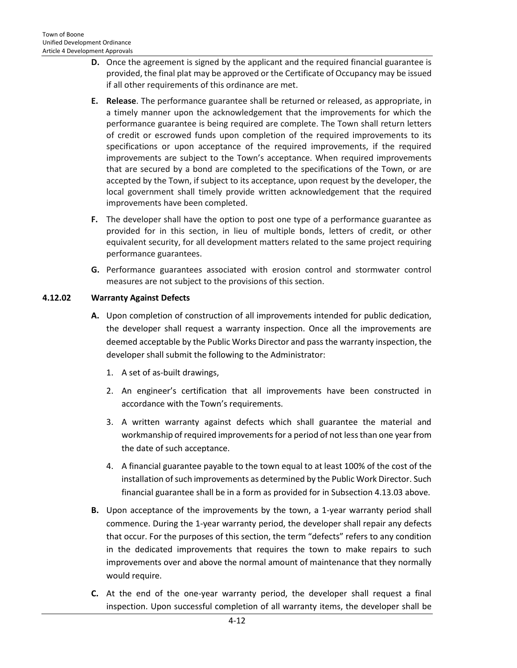- **D.** Once the agreement is signed by the applicant and the required financial guarantee is provided, the final plat may be approved or the Certificate of Occupancy may be issued if all other requirements of this ordinance are met.
- **E. Release**. The performance guarantee shall be returned or released, as appropriate, in a timely manner upon the acknowledgement that the improvements for which the performance guarantee is being required are complete. The Town shall return letters of credit or escrowed funds upon completion of the required improvements to its specifications or upon acceptance of the required improvements, if the required improvements are subject to the Town's acceptance. When required improvements that are secured by a bond are completed to the specifications of the Town, or are accepted by the Town, if subject to its acceptance, upon request by the developer, the local government shall timely provide written acknowledgement that the required improvements have been completed.
- **F.** The developer shall have the option to post one type of a performance guarantee as provided for in this section, in lieu of multiple bonds, letters of credit, or other equivalent security, for all development matters related to the same project requiring performance guarantees.
- **G.** Performance guarantees associated with erosion control and stormwater control measures are not subject to the provisions of this section.

## **4.12.02 Warranty Against Defects**

- **A.** Upon completion of construction of all improvements intended for public dedication, the developer shall request a warranty inspection. Once all the improvements are deemed acceptable by the Public Works Director and pass the warranty inspection, the developer shall submit the following to the Administrator:
	- 1. A set of as-built drawings,
	- 2. An engineer's certification that all improvements have been constructed in accordance with the Town's requirements.
	- 3. A written warranty against defects which shall guarantee the material and workmanship of required improvements for a period of not less than one year from the date of such acceptance.
	- 4. A financial guarantee payable to the town equal to at least 100% of the cost of the installation of such improvements as determined by the Public Work Director. Such financial guarantee shall be in a form as provided for in Subsection 4.13.03 above.
- **B.** Upon acceptance of the improvements by the town, a 1-year warranty period shall commence. During the 1-year warranty period, the developer shall repair any defects that occur. For the purposes of this section, the term "defects" refers to any condition in the dedicated improvements that requires the town to make repairs to such improvements over and above the normal amount of maintenance that they normally would require.
- **C.** At the end of the one-year warranty period, the developer shall request a final inspection. Upon successful completion of all warranty items, the developer shall be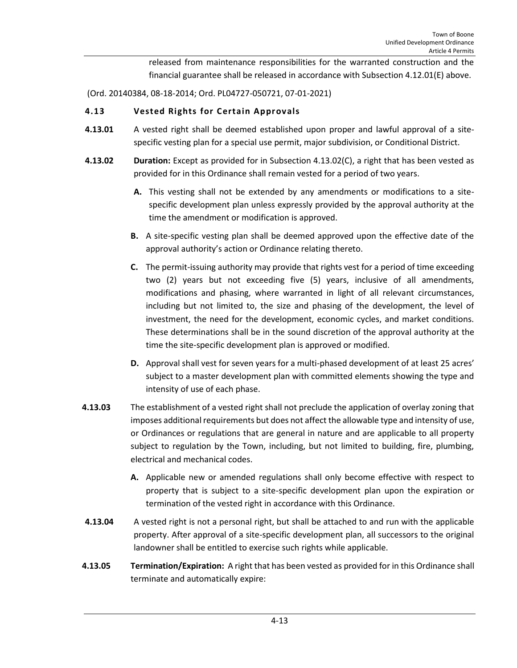released from maintenance responsibilities for the warranted construction and the financial guarantee shall be released in accordance with Subsection 4.12.01(E) above.

(Ord. 20140384, 08-18-2014; Ord. PL04727-050721, 07-01-2021)

## <span id="page-12-0"></span>**4.13 Vested Rights for Certain Approvals**

- **4.13.01** A vested right shall be deemed established upon proper and lawful approval of a sitespecific vesting plan for a special use permit, major subdivision, or Conditional District.
- **4.13.02 Duration:** Except as provided for in Subsection 4.13.02(C), a right that has been vested as provided for in this Ordinance shall remain vested for a period of two years.
	- **A.** This vesting shall not be extended by any amendments or modifications to a sitespecific development plan unless expressly provided by the approval authority at the time the amendment or modification is approved.
	- **B.** A site-specific vesting plan shall be deemed approved upon the effective date of the approval authority's action or Ordinance relating thereto.
	- **C.** The permit-issuing authority may provide that rights vest for a period of time exceeding two (2) years but not exceeding five (5) years, inclusive of all amendments, modifications and phasing, where warranted in light of all relevant circumstances, including but not limited to, the size and phasing of the development, the level of investment, the need for the development, economic cycles, and market conditions. These determinations shall be in the sound discretion of the approval authority at the time the site-specific development plan is approved or modified.
	- **D.** Approval shall vest for seven years for a multi-phased development of at least 25 acres' subject to a master development plan with committed elements showing the type and intensity of use of each phase.
- **4.13.03** The establishment of a vested right shall not preclude the application of overlay zoning that imposes additional requirements but does not affect the allowable type and intensity of use, or Ordinances or regulations that are general in nature and are applicable to all property subject to regulation by the Town, including, but not limited to building, fire, plumbing, electrical and mechanical codes.
	- **A.** Applicable new or amended regulations shall only become effective with respect to property that is subject to a site-specific development plan upon the expiration or termination of the vested right in accordance with this Ordinance.
- **4.13.04** A vested right is not a personal right, but shall be attached to and run with the applicable property. After approval of a site-specific development plan, all successors to the original landowner shall be entitled to exercise such rights while applicable.
- **4.13.05 Termination/Expiration:** A right that has been vested as provided for in this Ordinance shall terminate and automatically expire: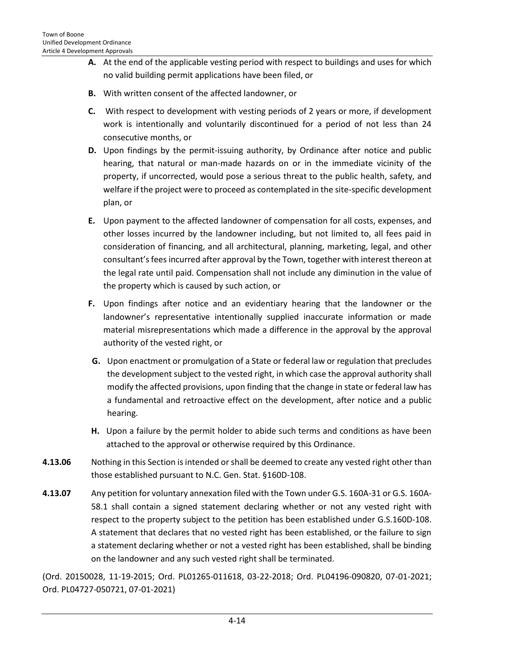- **A.** At the end of the applicable vesting period with respect to buildings and uses for which no valid building permit applications have been filed, or
- **B.** With written consent of the affected landowner, or
- **C.** With respect to development with vesting periods of 2 years or more, if development work is intentionally and voluntarily discontinued for a period of not less than 24 consecutive months, or
- **D.** Upon findings by the permit-issuing authority, by Ordinance after notice and public hearing, that natural or man-made hazards on or in the immediate vicinity of the property, if uncorrected, would pose a serious threat to the public health, safety, and welfare if the project were to proceed as contemplated in the site-specific development plan, or
- **E.** Upon payment to the affected landowner of compensation for all costs, expenses, and other losses incurred by the landowner including, but not limited to, all fees paid in consideration of financing, and all architectural, planning, marketing, legal, and other consultant's fees incurred after approval by the Town, together with interest thereon at the legal rate until paid. Compensation shall not include any diminution in the value of the property which is caused by such action, or
- **F.** Upon findings after notice and an evidentiary hearing that the landowner or the landowner's representative intentionally supplied inaccurate information or made material misrepresentations which made a difference in the approval by the approval authority of the vested right, or
- **G.** Upon enactment or promulgation of a State or federal law or regulation that precludes the development subject to the vested right, in which case the approval authority shall modify the affected provisions, upon finding that the change in state or federal law has a fundamental and retroactive effect on the development, after notice and a public hearing.
- **H.** Upon a failure by the permit holder to abide such terms and conditions as have been attached to the approval or otherwise required by this Ordinance.
- **4.13.06** Nothing in this Section is intended or shall be deemed to create any vested right other than those established pursuant to N.C. Gen. Stat. §160D-108.
- **4.13.07** Any petition for voluntary annexation filed with the Town under G.S. 160A-31 or G.S. 160A-58.1 shall contain a signed statement declaring whether or not any vested right with respect to the property subject to the petition has been established under G.S.160D-108. A statement that declares that no vested right has been established, or the failure to sign a statement declaring whether or not a vested right has been established, shall be binding on the landowner and any such vested right shall be terminated.

(Ord. 20150028, 11-19-2015; Ord. PL01265-011618, 03-22-2018; Ord. PL04196-090820, 07-01-2021; Ord. PL04727-050721, 07-01-2021)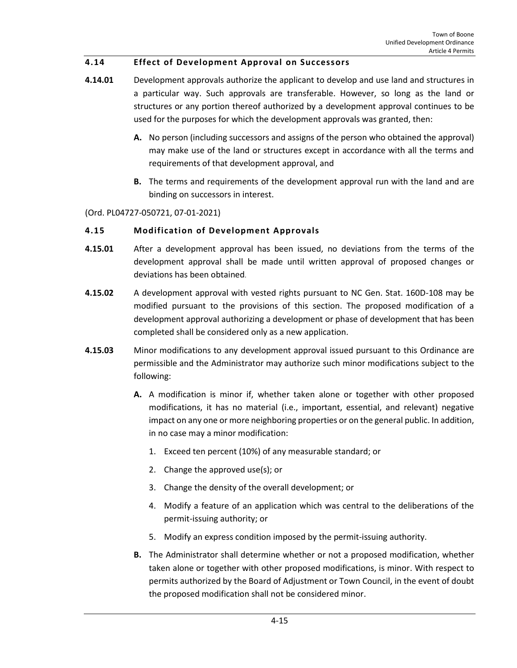## <span id="page-14-0"></span>**4.14 Effect of Development Approval on Successors**

- **4.14.01** Development approvals authorize the applicant to develop and use land and structures in a particular way. Such approvals are transferable. However, so long as the land or structures or any portion thereof authorized by a development approval continues to be used for the purposes for which the development approvals was granted, then:
	- **A.** No person (including successors and assigns of the person who obtained the approval) may make use of the land or structures except in accordance with all the terms and requirements of that development approval, and
	- **B.** The terms and requirements of the development approval run with the land and are binding on successors in interest.

(Ord. PL04727-050721, 07-01-2021)

#### <span id="page-14-1"></span>**4.15 Modification of Development Approvals**

- **4.15.01** After a development approval has been issued, no deviations from the terms of the development approval shall be made until written approval of proposed changes or deviations has been obtained.
- **4.15.02** A development approval with vested rights pursuant to NC Gen. Stat. 160D-108 may be modified pursuant to the provisions of this section. The proposed modification of a development approval authorizing a development or phase of development that has been completed shall be considered only as a new application.
- **4.15.03** Minor modifications to any development approval issued pursuant to this Ordinance are permissible and the Administrator may authorize such minor modifications subject to the following:
	- **A.** A modification is minor if, whether taken alone or together with other proposed modifications, it has no material (i.e., important, essential, and relevant) negative impact on any one or more neighboring properties or on the general public. In addition, in no case may a minor modification:
		- 1. Exceed ten percent (10%) of any measurable standard; or
		- 2. Change the approved use(s); or
		- 3. Change the density of the overall development; or
		- 4. Modify a feature of an application which was central to the deliberations of the permit-issuing authority; or
		- 5. Modify an express condition imposed by the permit-issuing authority.
	- **B.** The Administrator shall determine whether or not a proposed modification, whether taken alone or together with other proposed modifications, is minor. With respect to permits authorized by the Board of Adjustment or Town Council, in the event of doubt the proposed modification shall not be considered minor.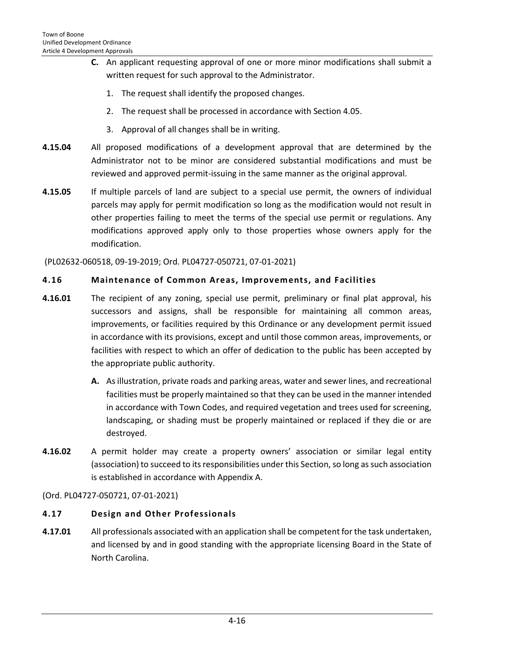- **C.** An applicant requesting approval of one or more minor modifications shall submit a written request for such approval to the Administrator.
	- 1. The request shall identify the proposed changes.
	- 2. The request shall be processed in accordance with Section 4.05.
	- 3. Approval of all changes shall be in writing.
- **4.15.04** All proposed modifications of a development approval that are determined by the Administrator not to be minor are considered substantial modifications and must be reviewed and approved permit-issuing in the same manner as the original approval.
- **4.15.05** If multiple parcels of land are subject to a special use permit, the owners of individual parcels may apply for permit modification so long as the modification would not result in other properties failing to meet the terms of the special use permit or regulations. Any modifications approved apply only to those properties whose owners apply for the modification.

(PL02632-060518, 09-19-2019; Ord. PL04727-050721, 07-01-2021)

## <span id="page-15-0"></span>**4.16 Maintenance of Common Areas, Improvements, and Facilities**

- **4.16.01** The recipient of any zoning, special use permit, preliminary or final plat approval, his successors and assigns, shall be responsible for maintaining all common areas, improvements, or facilities required by this Ordinance or any development permit issued in accordance with its provisions, except and until those common areas, improvements, or facilities with respect to which an offer of dedication to the public has been accepted by the appropriate public authority.
	- **A.** As illustration, private roads and parking areas, water and sewer lines, and recreational facilities must be properly maintained so that they can be used in the manner intended in accordance with Town Codes, and required vegetation and trees used for screening, landscaping, or shading must be properly maintained or replaced if they die or are destroyed.
- **4.16.02** A permit holder may create a property owners' association or similar legal entity (association) to succeed to its responsibilities under this Section, so long as such association is established in accordance with Appendix A.

(Ord. PL04727-050721, 07-01-2021)

## <span id="page-15-1"></span>**4.17 Design and Other Professionals**

**4.17.01** All professionals associated with an application shall be competent for the task undertaken, and licensed by and in good standing with the appropriate licensing Board in the State of North Carolina.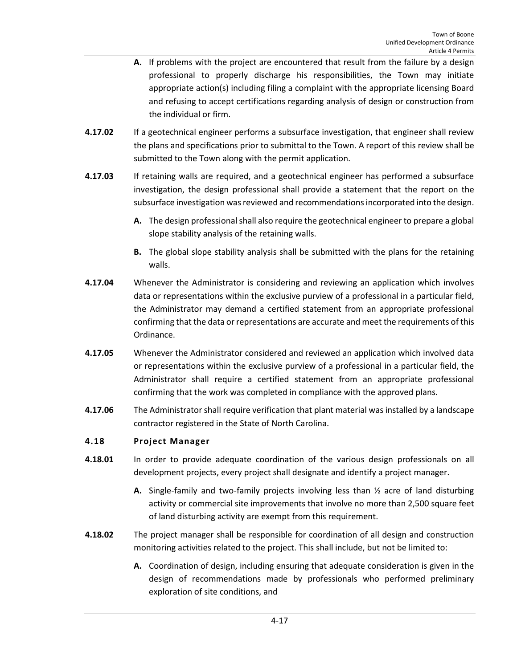- **A.** If problems with the project are encountered that result from the failure by a design professional to properly discharge his responsibilities, the Town may initiate appropriate action(s) including filing a complaint with the appropriate licensing Board and refusing to accept certifications regarding analysis of design or construction from the individual or firm.
- **4.17.02** If a geotechnical engineer performs a subsurface investigation, that engineer shall review the plans and specifications prior to submittal to the Town. A report of this review shall be submitted to the Town along with the permit application.
- **4.17.03** If retaining walls are required, and a geotechnical engineer has performed a subsurface investigation, the design professional shall provide a statement that the report on the subsurface investigation was reviewed and recommendations incorporated into the design.
	- **A.** The design professional shall also require the geotechnical engineer to prepare a global slope stability analysis of the retaining walls.
	- **B.** The global slope stability analysis shall be submitted with the plans for the retaining walls.
- **4.17.04** Whenever the Administrator is considering and reviewing an application which involves data or representations within the exclusive purview of a professional in a particular field, the Administrator may demand a certified statement from an appropriate professional confirming that the data or representations are accurate and meet the requirements of this Ordinance.
- **4.17.05** Whenever the Administrator considered and reviewed an application which involved data or representations within the exclusive purview of a professional in a particular field, the Administrator shall require a certified statement from an appropriate professional confirming that the work was completed in compliance with the approved plans.
- **4.17.06** The Administrator shall require verification that plant material was installed by a landscape contractor registered in the State of North Carolina.

## <span id="page-16-0"></span>**4.18 Project Manager**

- **4.18.01** In order to provide adequate coordination of the various design professionals on all development projects, every project shall designate and identify a project manager.
	- **A.** Single-family and two-family projects involving less than ½ acre of land disturbing activity or commercial site improvements that involve no more than 2,500 square feet of land disturbing activity are exempt from this requirement.
- **4.18.02** The project manager shall be responsible for coordination of all design and construction monitoring activities related to the project. This shall include, but not be limited to:
	- **A.** Coordination of design, including ensuring that adequate consideration is given in the design of recommendations made by professionals who performed preliminary exploration of site conditions, and